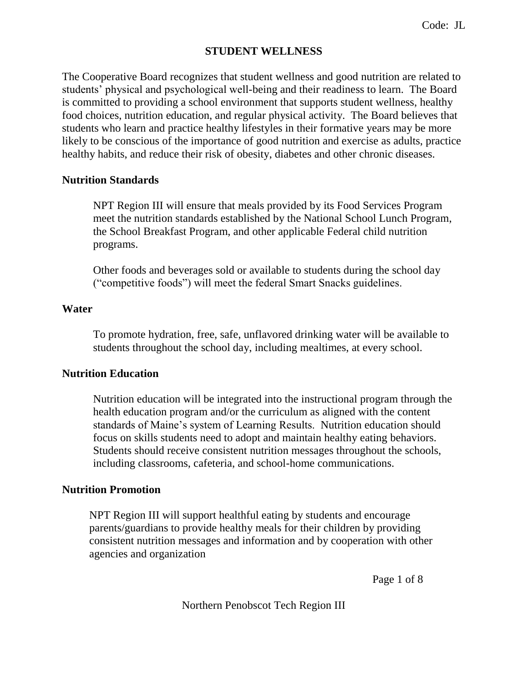## **STUDENT WELLNESS**

The Cooperative Board recognizes that student wellness and good nutrition are related to students' physical and psychological well-being and their readiness to learn. The Board is committed to providing a school environment that supports student wellness, healthy food choices, nutrition education, and regular physical activity. The Board believes that students who learn and practice healthy lifestyles in their formative years may be more likely to be conscious of the importance of good nutrition and exercise as adults, practice healthy habits, and reduce their risk of obesity, diabetes and other chronic diseases.

#### **Nutrition Standards**

NPT Region III will ensure that meals provided by its Food Services Program meet the nutrition standards established by the National School Lunch Program, the School Breakfast Program, and other applicable Federal child nutrition programs.

Other foods and beverages sold or available to students during the school day ("competitive foods") will meet the federal Smart Snacks guidelines.

#### **Water**

To promote hydration, free, safe, unflavored drinking water will be available to students throughout the school day, including mealtimes, at every school.

#### **Nutrition Education**

Nutrition education will be integrated into the instructional program through the health education program and/or the curriculum as aligned with the content standards of Maine's system of Learning Results. Nutrition education should focus on skills students need to adopt and maintain healthy eating behaviors. Students should receive consistent nutrition messages throughout the schools, including classrooms, cafeteria, and school-home communications.

#### **Nutrition Promotion**

NPT Region III will support healthful eating by students and encourage parents/guardians to provide healthy meals for their children by providing consistent nutrition messages and information and by cooperation with other agencies and organization

Page 1 of 8

Northern Penobscot Tech Region III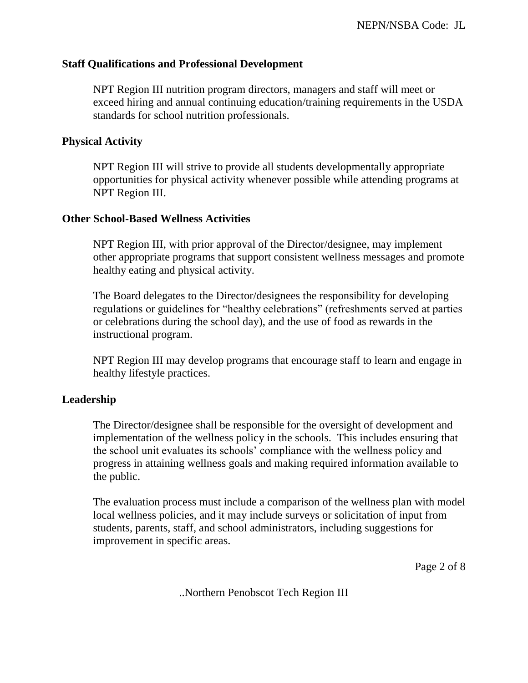### **Staff Qualifications and Professional Development**

NPT Region III nutrition program directors, managers and staff will meet or exceed hiring and annual continuing education/training requirements in the USDA standards for school nutrition professionals.

# **Physical Activity**

NPT Region III will strive to provide all students developmentally appropriate opportunities for physical activity whenever possible while attending programs at NPT Region III.

#### **Other School-Based Wellness Activities**

NPT Region III, with prior approval of the Director/designee, may implement other appropriate programs that support consistent wellness messages and promote healthy eating and physical activity.

The Board delegates to the Director/designees the responsibility for developing regulations or guidelines for "healthy celebrations" (refreshments served at parties or celebrations during the school day), and the use of food as rewards in the instructional program.

NPT Region III may develop programs that encourage staff to learn and engage in healthy lifestyle practices.

# **Leadership**

The Director/designee shall be responsible for the oversight of development and implementation of the wellness policy in the schools. This includes ensuring that the school unit evaluates its schools' compliance with the wellness policy and progress in attaining wellness goals and making required information available to the public.

The evaluation process must include a comparison of the wellness plan with model local wellness policies, and it may include surveys or solicitation of input from students, parents, staff, and school administrators, including suggestions for improvement in specific areas.

Page 2 of 8

..Northern Penobscot Tech Region III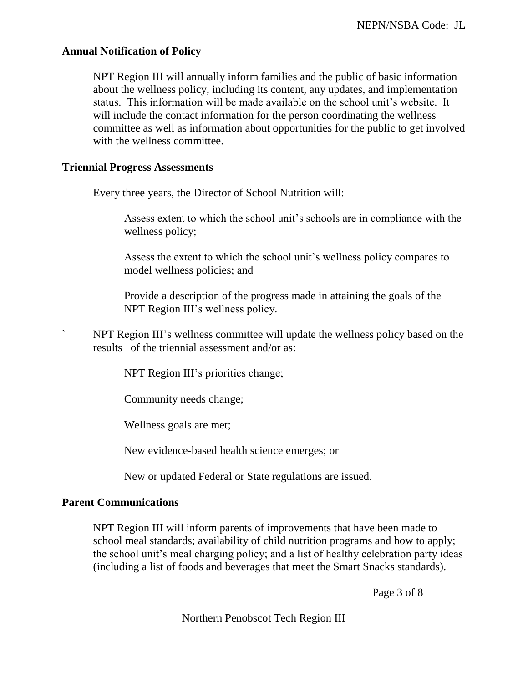# **Annual Notification of Policy**

NPT Region III will annually inform families and the public of basic information about the wellness policy, including its content, any updates, and implementation status. This information will be made available on the school unit's website. It will include the contact information for the person coordinating the wellness committee as well as information about opportunities for the public to get involved with the wellness committee.

## **Triennial Progress Assessments**

Every three years, the Director of School Nutrition will:

Assess extent to which the school unit's schools are in compliance with the wellness policy;

Assess the extent to which the school unit's wellness policy compares to model wellness policies; and

Provide a description of the progress made in attaining the goals of the NPT Region III's wellness policy.

` NPT Region III's wellness committee will update the wellness policy based on the results of the triennial assessment and/or as:

NPT Region III's priorities change;

Community needs change;

Wellness goals are met;

New evidence-based health science emerges; or

New or updated Federal or State regulations are issued.

# **Parent Communications**

NPT Region III will inform parents of improvements that have been made to school meal standards; availability of child nutrition programs and how to apply; the school unit's meal charging policy; and a list of healthy celebration party ideas (including a list of foods and beverages that meet the Smart Snacks standards).

Page 3 of 8

Northern Penobscot Tech Region III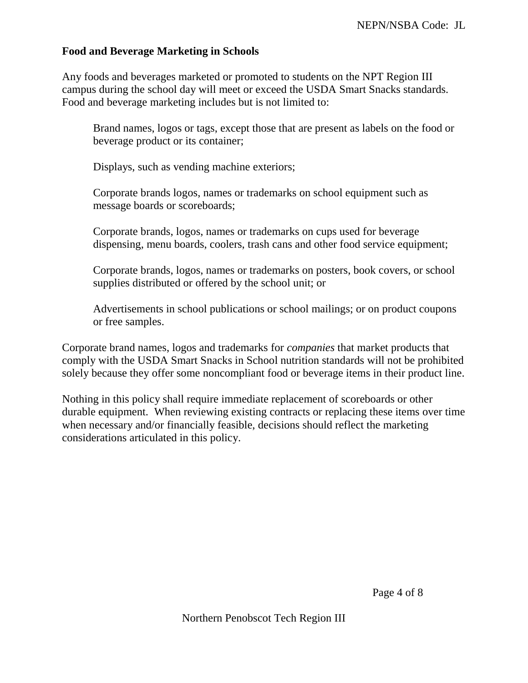# **Food and Beverage Marketing in Schools**

Any foods and beverages marketed or promoted to students on the NPT Region III campus during the school day will meet or exceed the USDA Smart Snacks standards. Food and beverage marketing includes but is not limited to:

Brand names, logos or tags, except those that are present as labels on the food or beverage product or its container;

Displays, such as vending machine exteriors;

Corporate brands logos, names or trademarks on school equipment such as message boards or scoreboards;

Corporate brands, logos, names or trademarks on cups used for beverage dispensing, menu boards, coolers, trash cans and other food service equipment;

Corporate brands, logos, names or trademarks on posters, book covers, or school supplies distributed or offered by the school unit; or

Advertisements in school publications or school mailings; or on product coupons or free samples.

Corporate brand names, logos and trademarks for *companies* that market products that comply with the USDA Smart Snacks in School nutrition standards will not be prohibited solely because they offer some noncompliant food or beverage items in their product line.

Nothing in this policy shall require immediate replacement of scoreboards or other durable equipment. When reviewing existing contracts or replacing these items over time when necessary and/or financially feasible, decisions should reflect the marketing considerations articulated in this policy.

Page 4 of 8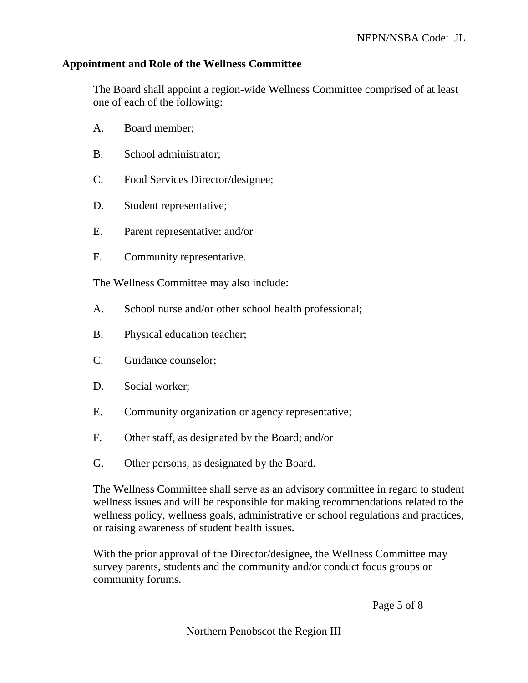## **Appointment and Role of the Wellness Committee**

The Board shall appoint a region-wide Wellness Committee comprised of at least one of each of the following:

- A. Board member;
- B. School administrator;
- C. Food Services Director/designee;
- D. Student representative;
- E. Parent representative; and/or
- F. Community representative.

The Wellness Committee may also include:

- A. School nurse and/or other school health professional;
- B. Physical education teacher;
- C. Guidance counselor;
- D. Social worker;
- E. Community organization or agency representative;
- F. Other staff, as designated by the Board; and/or
- G. Other persons, as designated by the Board.

The Wellness Committee shall serve as an advisory committee in regard to student wellness issues and will be responsible for making recommendations related to the wellness policy, wellness goals, administrative or school regulations and practices, or raising awareness of student health issues.

With the prior approval of the Director/designee, the Wellness Committee may survey parents, students and the community and/or conduct focus groups or community forums.

Page 5 of 8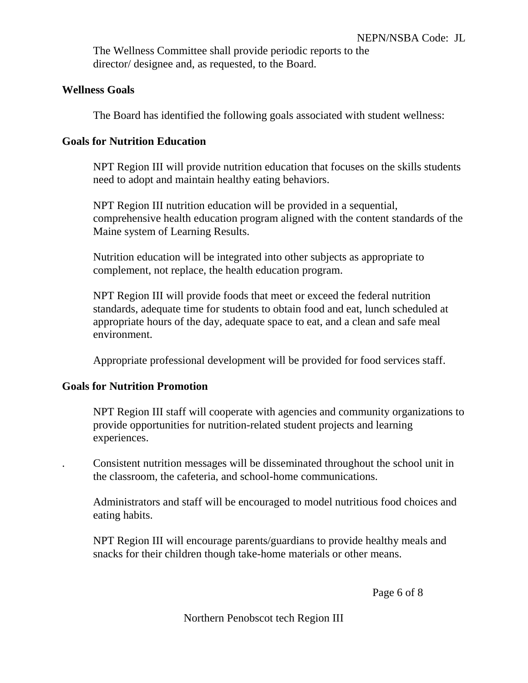The Wellness Committee shall provide periodic reports to the director/ designee and, as requested, to the Board.

# **Wellness Goals**

The Board has identified the following goals associated with student wellness:

# **Goals for Nutrition Education**

NPT Region III will provide nutrition education that focuses on the skills students need to adopt and maintain healthy eating behaviors.

NPT Region III nutrition education will be provided in a sequential, comprehensive health education program aligned with the content standards of the Maine system of Learning Results.

Nutrition education will be integrated into other subjects as appropriate to complement, not replace, the health education program.

NPT Region III will provide foods that meet or exceed the federal nutrition standards, adequate time for students to obtain food and eat, lunch scheduled at appropriate hours of the day, adequate space to eat, and a clean and safe meal environment.

Appropriate professional development will be provided for food services staff.

# **Goals for Nutrition Promotion**

NPT Region III staff will cooperate with agencies and community organizations to provide opportunities for nutrition-related student projects and learning experiences.

. Consistent nutrition messages will be disseminated throughout the school unit in the classroom, the cafeteria, and school-home communications.

Administrators and staff will be encouraged to model nutritious food choices and eating habits.

NPT Region III will encourage parents/guardians to provide healthy meals and snacks for their children though take-home materials or other means.

Page 6 of 8

Northern Penobscot tech Region III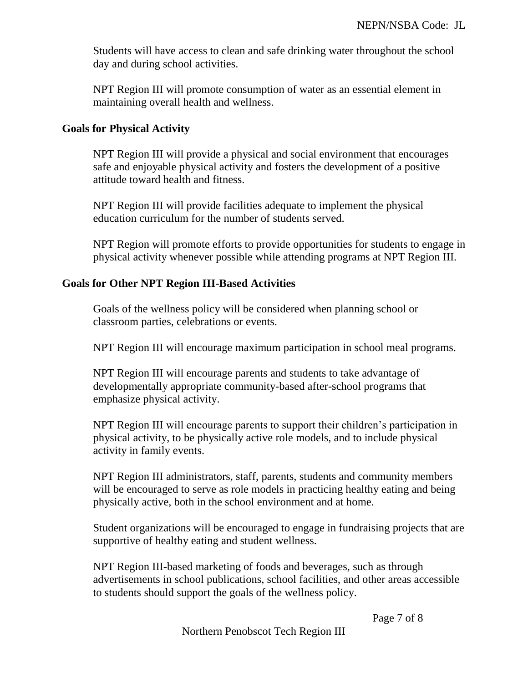Students will have access to clean and safe drinking water throughout the school day and during school activities.

NPT Region III will promote consumption of water as an essential element in maintaining overall health and wellness.

### **Goals for Physical Activity**

NPT Region III will provide a physical and social environment that encourages safe and enjoyable physical activity and fosters the development of a positive attitude toward health and fitness.

NPT Region III will provide facilities adequate to implement the physical education curriculum for the number of students served.

NPT Region will promote efforts to provide opportunities for students to engage in physical activity whenever possible while attending programs at NPT Region III.

### **Goals for Other NPT Region III-Based Activities**

Goals of the wellness policy will be considered when planning school or classroom parties, celebrations or events.

NPT Region III will encourage maximum participation in school meal programs.

NPT Region III will encourage parents and students to take advantage of developmentally appropriate community-based after-school programs that emphasize physical activity.

NPT Region III will encourage parents to support their children's participation in physical activity, to be physically active role models, and to include physical activity in family events.

NPT Region III administrators, staff, parents, students and community members will be encouraged to serve as role models in practicing healthy eating and being physically active, both in the school environment and at home.

Student organizations will be encouraged to engage in fundraising projects that are supportive of healthy eating and student wellness.

NPT Region III-based marketing of foods and beverages, such as through advertisements in school publications, school facilities, and other areas accessible to students should support the goals of the wellness policy.